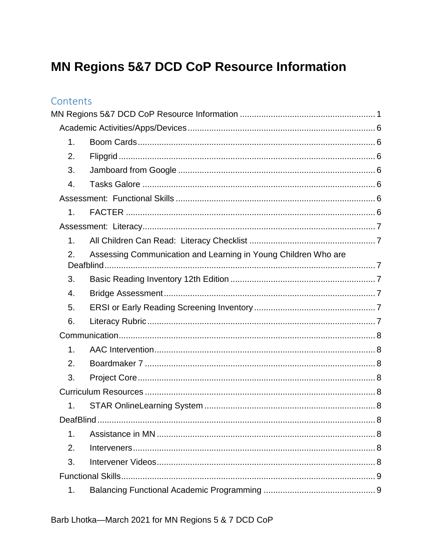# <span id="page-0-0"></span>MN Regions 5&7 DCD CoP Resource Information

#### Contents

| 1.             |                                                                             |  |
|----------------|-----------------------------------------------------------------------------|--|
| 2.             |                                                                             |  |
| 3.             |                                                                             |  |
| 4.             |                                                                             |  |
|                |                                                                             |  |
| 1 <sub>1</sub> |                                                                             |  |
|                |                                                                             |  |
| 1 <sub>1</sub> |                                                                             |  |
| 2.             | Assessing Communication and Learning in Young Children Who are<br>Deafblind |  |
| 3.             |                                                                             |  |
| 4.             |                                                                             |  |
| 5.             |                                                                             |  |
| 6.             |                                                                             |  |
|                |                                                                             |  |
| $\mathbf{1}$ . |                                                                             |  |
| 2.             |                                                                             |  |
| 3.             |                                                                             |  |
|                |                                                                             |  |
| 1.             |                                                                             |  |
|                |                                                                             |  |
| 1.             |                                                                             |  |
| 2.             |                                                                             |  |
| 3.             |                                                                             |  |
|                |                                                                             |  |
| 1.             |                                                                             |  |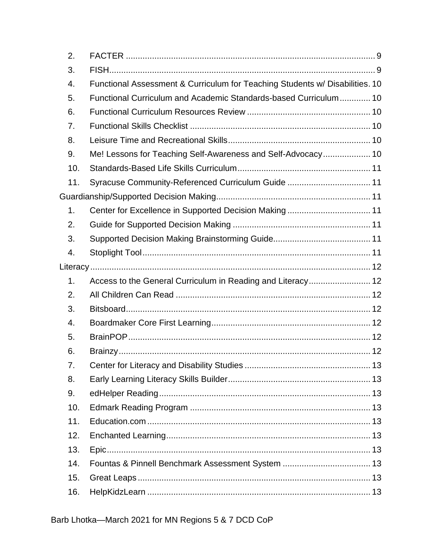| 2.  |                                                                              |  |
|-----|------------------------------------------------------------------------------|--|
| 3.  |                                                                              |  |
| 4.  | Functional Assessment & Curriculum for Teaching Students w/ Disabilities. 10 |  |
| 5.  | Functional Curriculum and Academic Standards-based Curriculum 10             |  |
| 6.  |                                                                              |  |
| 7.  |                                                                              |  |
| 8.  |                                                                              |  |
| 9.  | Me! Lessons for Teaching Self-Awareness and Self-Advocacy 10                 |  |
| 10. |                                                                              |  |
| 11. | Syracuse Community-Referenced Curriculum Guide  11                           |  |
|     |                                                                              |  |
| 1.  | Center for Excellence in Supported Decision Making 11                        |  |
| 2.  |                                                                              |  |
| 3.  |                                                                              |  |
| 4.  |                                                                              |  |
|     |                                                                              |  |
| 1.  | Access to the General Curriculum in Reading and Literacy 12                  |  |
| 2.  |                                                                              |  |
| 3.  |                                                                              |  |
| 4.  |                                                                              |  |
| 5.  |                                                                              |  |
| 6.  |                                                                              |  |
| 7.  |                                                                              |  |
| 8.  |                                                                              |  |
| 9.  |                                                                              |  |
| 10. |                                                                              |  |
| 11. |                                                                              |  |
| 12. |                                                                              |  |
| 13. |                                                                              |  |
| 14. |                                                                              |  |
| 15. |                                                                              |  |
| 16. |                                                                              |  |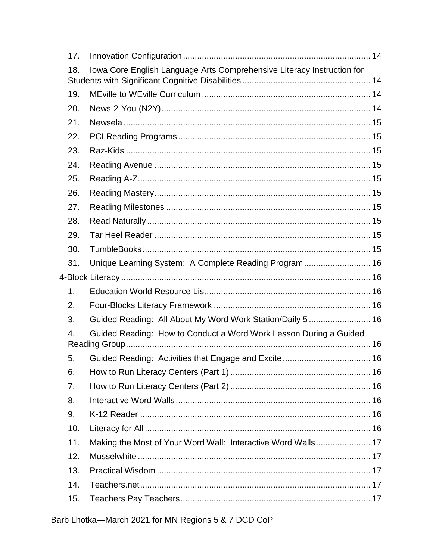| 17.              |                                                                        |  |
|------------------|------------------------------------------------------------------------|--|
| 18.              | Iowa Core English Language Arts Comprehensive Literacy Instruction for |  |
| 19.              |                                                                        |  |
| 20.              |                                                                        |  |
| 21.              |                                                                        |  |
| 22.              |                                                                        |  |
| 23.              |                                                                        |  |
| 24.              |                                                                        |  |
| 25.              |                                                                        |  |
| 26.              |                                                                        |  |
| 27.              |                                                                        |  |
| 28.              |                                                                        |  |
| 29.              |                                                                        |  |
| 30.              |                                                                        |  |
| 31.              | Unique Learning System: A Complete Reading Program  16                 |  |
|                  |                                                                        |  |
| 1.               |                                                                        |  |
| 2.               |                                                                        |  |
| 3.               | Guided Reading: All About My Word Work Station/Daily 5  16             |  |
| $\overline{4}$ . | Guided Reading: How to Conduct a Word Work Lesson During a Guided      |  |
| 5.               |                                                                        |  |
| 6.               |                                                                        |  |
| 7.               |                                                                        |  |
| 8.               |                                                                        |  |
| 9.               |                                                                        |  |
| 10.              |                                                                        |  |
| 11.              | Making the Most of Your Word Wall: Interactive Word Walls 17           |  |
| 12.              |                                                                        |  |
| 13.              |                                                                        |  |
| 14.              |                                                                        |  |
| 15.              |                                                                        |  |
|                  |                                                                        |  |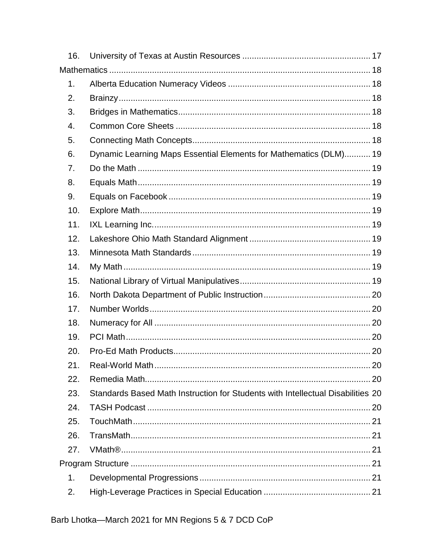| 16. |                                                                                 |    |
|-----|---------------------------------------------------------------------------------|----|
|     |                                                                                 |    |
| 1.  |                                                                                 |    |
| 2.  |                                                                                 |    |
| 3.  |                                                                                 |    |
| 4.  |                                                                                 |    |
| 5.  |                                                                                 |    |
| 6.  | Dynamic Learning Maps Essential Elements for Mathematics (DLM) 19               |    |
| 7.  |                                                                                 |    |
| 8.  |                                                                                 |    |
| 9.  |                                                                                 |    |
| 10. |                                                                                 |    |
| 11. |                                                                                 |    |
| 12. |                                                                                 |    |
| 13. |                                                                                 |    |
| 14. |                                                                                 |    |
| 15. |                                                                                 |    |
| 16. |                                                                                 |    |
| 17. |                                                                                 |    |
| 18. |                                                                                 |    |
| 19. |                                                                                 |    |
| 20. |                                                                                 |    |
| 21  | Real-World Math                                                                 | 20 |
| 22. |                                                                                 |    |
| 23. | Standards Based Math Instruction for Students with Intellectual Disabilities 20 |    |
| 24. |                                                                                 |    |
| 25. |                                                                                 |    |
| 26. |                                                                                 |    |
| 27. |                                                                                 |    |
|     |                                                                                 |    |
| 1.  |                                                                                 |    |
| 2.  |                                                                                 |    |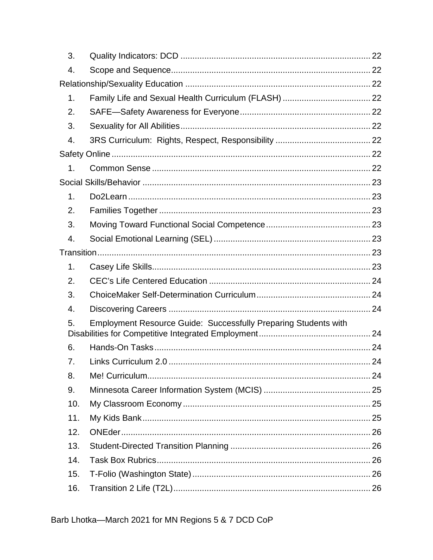| 3.               |                                                                        |  |
|------------------|------------------------------------------------------------------------|--|
| 4.               |                                                                        |  |
|                  |                                                                        |  |
| 1.               |                                                                        |  |
| 2.               |                                                                        |  |
| 3.               |                                                                        |  |
| 4.               |                                                                        |  |
|                  |                                                                        |  |
| 1.               |                                                                        |  |
|                  |                                                                        |  |
| 1.               |                                                                        |  |
| 2.               |                                                                        |  |
| 3.               |                                                                        |  |
| 4.               |                                                                        |  |
|                  |                                                                        |  |
| 1.               |                                                                        |  |
| 2.               |                                                                        |  |
| 3.               |                                                                        |  |
| $\overline{4}$ . |                                                                        |  |
| 5.               | <b>Employment Resource Guide: Successfully Preparing Students with</b> |  |
| 6.               |                                                                        |  |
| 7.               |                                                                        |  |
| 8.               |                                                                        |  |
| 9.               |                                                                        |  |
| 10.              |                                                                        |  |
| 11.              |                                                                        |  |
| 12.              |                                                                        |  |
| 13.              |                                                                        |  |
| 14.              |                                                                        |  |
| 15.              |                                                                        |  |
| 16.              |                                                                        |  |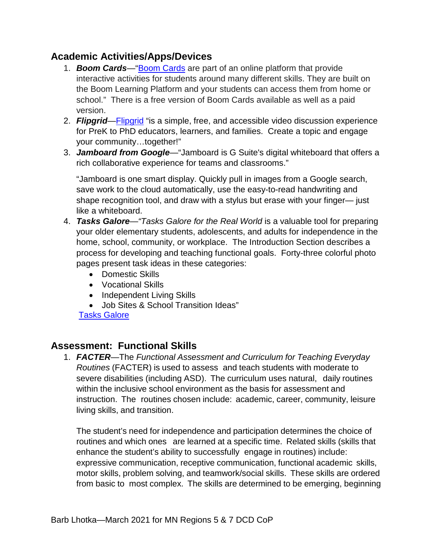#### <span id="page-5-1"></span><span id="page-5-0"></span>**Academic Activities/Apps/Devices**

- 1. *Boom Cards*—["Boom Cards](https://wow.boomlearning.com/) are part of an online platform that provide interactive activities for students around many different skills. They are built on the Boom Learning Platform and your students can access them from home or school." There is a free version of Boom Cards available as well as a paid version.
- <span id="page-5-2"></span>2. *Flipgrid*[—Flipgrid](https://info.flipgrid.com/) "is a simple, free, and accessible video discussion experience for PreK to PhD educators, learners, and families. Create a topic and engage your community…together!"
- <span id="page-5-3"></span>3. *Jamboard from Google*—"Jamboard is G Suite's digital whiteboard that offers a rich collaborative experience for teams and classrooms."

"Jamboard is one smart display. Quickly pull in images from a Google search, save work to the cloud automatically, use the easy-to-read handwriting and shape recognition tool, and draw with a stylus but erase with your finger— just like a whiteboard.

- <span id="page-5-4"></span>4. *Tasks Galore*—*"Tasks Galore for the Real World* is a valuable tool for preparing your older elementary students, adolescents, and adults for independence in the home, school, community, or workplace. The Introduction Section describes a process for developing and teaching functional goals. Forty-three colorful photo pages present task ideas in these categories:
	- Domestic Skills
	- Vocational Skills
	- Independent Living Skills
	- Job Sites & School Transition Ideas"

[Tasks Galore](http://www.tasksgalore.com/Tasks_Galore_order_form_July_2018.pdf)

#### <span id="page-5-6"></span><span id="page-5-5"></span>**Assessment: Functional Skills**

1. *FACTER*—The *Functional Assessment and Curriculum for Teaching Everyday Routines* (FACTER) is used to assess and teach students with moderate to severe disabilities (including ASD). The curriculum uses natural, daily routines within the inclusive school environment as the basis for assessment and instruction. The routines chosen include: academic, career, community, leisure living skills, and transition.

The student's need for independence and participation determines the choice of routines and which ones are learned at a specific time. Related skills (skills that enhance the student's ability to successfully engage in routines) include: expressive communication, receptive communication, functional academic skills, motor skills, problem solving, and teamwork/social skills. These skills are ordered from basic to most complex. The skills are determined to be emerging, beginning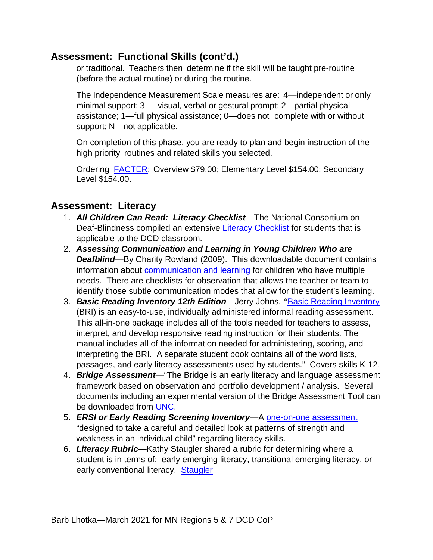#### **Assessment: Functional Skills (cont'd.)**

or traditional. Teachers then determine if the skill will be taught pre-routine (before the actual routine) or during the routine.

The Independence Measurement Scale measures are: 4—independent or only minimal support; 3— visual, verbal or gestural prompt; 2—partial physical assistance; 1—full physical assistance; 0—does not complete with or without support; N—not applicable.

On completion of this phase, you are ready to plan and begin instruction of the high priority routines and related skills you selected.

Ordering [FACTER:](http://starautismsupport.com/product/facter-overview-dvd) Overview \$79.00; Elementary Level \$154.00; Secondary Level \$154.00.

#### <span id="page-6-1"></span><span id="page-6-0"></span>**Assessment: Literacy**

- 1. *All Children Can Read: Literacy Checklist*—The National Consortium on Deaf-Blindness compiled an extensive [Literacy Checklist](http://literacy.nationaldb.org/files/5813/7591/5452/LiteracySkillsChecklist.FooterAdded.pdf) for students that is applicable to the DCD classroom.
- <span id="page-6-2"></span>2. *Assessing Communication and Learning in Young Children Who are Deafblind*—By Charity Rowland (2009). This downloadable document contains information about [communication and learning f](https://www.designtolearn.com/uploaded/pdf/DeafBlindAssessmentGuide.pdf)or children who have multiple needs. There are checklists for observation that allows the teacher or team to identify those subtle communication modes that allow for the student's learning.
- <span id="page-6-3"></span>3. *Basic Reading Inventory 12th Edition*—Jerry Johns. *"*[Basic Reading Inventory](https://he.kendallhunt.com/product/basic-reading-inventory-kindergarten-through-grade-twelve-and-early-literacy-assessments-0) (BRI) is an easy-to-use, individually administered informal reading assessment. This all-in-one package includes all of the tools needed for teachers to assess, interpret, and develop responsive reading instruction for their students. The manual includes all of the information needed for administering, scoring, and interpreting the BRI. A separate student book contains all of the word lists, passages, and early literacy assessments used by students." Covers skills K-12.
- <span id="page-6-4"></span>4. *Bridge Assessment*—"The Bridge is an early literacy and language assessment framework based on observation and portfolio development / analysis. Several documents including an experimental version of the Bridge Assessment Tool can be downloaded from [UNC.](https://www.med.unc.edu/ahs/clds/resources/early-childhood-resources-1/the-bridge-assessment/)
- <span id="page-6-5"></span>5. *ERSI or Early Reading Screening Inventory*—A [one-on-one assessment](http://www.appstate.edu/%7Esmileysl/rcoe/RE3030_completeERSIdirections.doc) "designed to take a careful and detailed look at patterns of strength and weakness in an individual child" regarding literacy skills.
- <span id="page-6-6"></span>6. *Literacy Rubric*—Kathy Staugler shared a rubric for determining where a student is in terms of: early emerging literacy, transitional emerging literacy, or early conventional literacy. [Staugler](http://www.aacintervention.com/home/180009852/180009852/tips/2009/06jun2009/Literacy%20rubric%2007.pdf)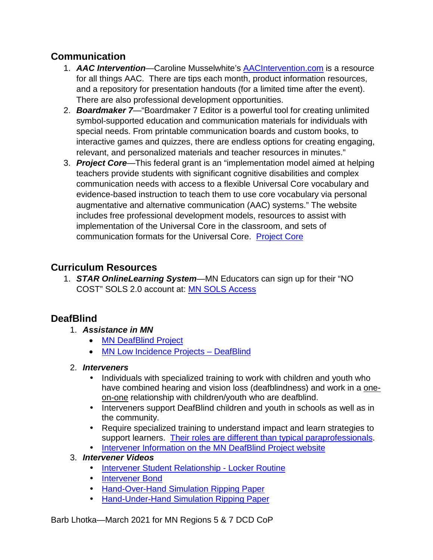#### <span id="page-7-1"></span><span id="page-7-0"></span>**Communication**

- 1. *AAC Intervention*—Caroline Musselwhite's [AACIntervention.com](http://www.aacintervention.com/default.asp?sec_id=180009852) is a resource for all things AAC. There are tips each month, product information resources, and a repository for presentation handouts (for a limited time after the event). There are also professional development opportunities.
- <span id="page-7-2"></span>2. *Boardmaker 7*—"Boardmaker 7 Editor is a powerful tool for creating unlimited symbol-supported education and communication materials for individuals with special needs. From printable communication boards and custom books, to interactive games and quizzes, there are endless options for creating engaging, relevant, and personalized materials and teacher resources in minutes."
- <span id="page-7-3"></span>3. *Project Core*—This federal grant is an "implementation model aimed at helping teachers provide students with significant cognitive disabilities and complex communication needs with access to a flexible Universal Core vocabulary and evidence-based instruction to teach them to use core vocabulary via personal augmentative and alternative communication (AAC) systems." The website includes free professional development models, resources to assist with implementation of the Universal Core in the classroom, and sets of communication formats for the Universal Core. [Project Core](http://www.project-core.com/)

## <span id="page-7-5"></span><span id="page-7-4"></span>**Curriculum Resources**

1. *STAR OnlineLearning System*—MN Educators can sign up for their "NO COST" SOLS 2.0 account at: [MN SOLS Access](https://starautismsupport.com/MN-SOLS-Access)

## <span id="page-7-7"></span><span id="page-7-6"></span>**DeafBlind**

- 1. *Assistance in MN*
	- [MN DeafBlind Project](http://www.dbproject.mn.org/)
	- [MN Low Incidence Projects –](http://www.mnlowincidenceprojects.org/Projects/db/index.html) DeafBlind

#### <span id="page-7-8"></span>2. *Interveners*

- Individuals with specialized training to work with children and youth who have combined hearing and vision loss (deafblindness) and work in a oneon-one relationship with children/youth who are deafblind.
- Interveners support DeafBlind children and youth in schools as well as in the community.
- Require specialized training to understand impact and learn strategies to support learners. [Their roles are different than typical paraprofessionals.](http://intervener.org/resources/Comparison-of-Interveners-and-Paraprofessionals.pdf)
- [Intervener Information on the MN DeafBlind Project website](http://www.dbproject.mn.org/Interveners/index.html)

#### <span id="page-7-9"></span>3. *Intervener Videos*

- [Intervener Student Relationship -](https://www.youtube.com/watch?v=hKJQjFcPJ8w) Locker Routine
- [Intervener Bond](https://www.youtube.com/watch?v=t7c8vm1yCm4)
- [Hand-Over-Hand Simulation Ripping Paper](https://www.youtube.com/watch?v=0DS-ExmG_Fc&t=35s)
- [Hand-Under-Hand Simulation Ripping Paper](https://www.youtube.com/watch?v=qjZtHyPLQCE)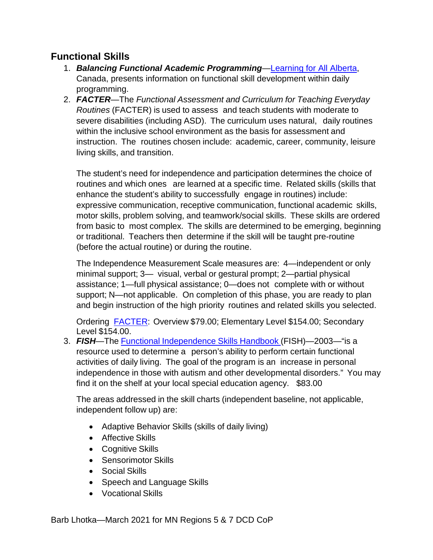#### <span id="page-8-1"></span><span id="page-8-0"></span>**Functional Skills**

- 1. *Balancing Functional Academic Programming*[—Learning for All Alberta,](http://www.learningforallab.ca/instructional-planning/balancing-functional-academic-programming/) Canada, presents information on functional skill development within daily programming.
- <span id="page-8-2"></span>2. *FACTER*—The *Functional Assessment and Curriculum for Teaching Everyday Routines* (FACTER) is used to assess and teach students with moderate to severe disabilities (including ASD). The curriculum uses natural, daily routines within the inclusive school environment as the basis for assessment and instruction. The routines chosen include: academic, career, community, leisure living skills, and transition.

The student's need for independence and participation determines the choice of routines and which ones are learned at a specific time. Related skills (skills that enhance the student's ability to successfully engage in routines) include: expressive communication, receptive communication, functional academic skills, motor skills, problem solving, and teamwork/social skills. These skills are ordered from basic to most complex. The skills are determined to be emerging, beginning or traditional. Teachers then determine if the skill will be taught pre-routine (before the actual routine) or during the routine.

The Independence Measurement Scale measures are: 4—independent or only minimal support; 3— visual, verbal or gestural prompt; 2—partial physical assistance; 1—full physical assistance; 0—does not complete with or without support; N—not applicable. On completion of this phase, you are ready to plan and begin instruction of the high priority routines and related skills you selected.

Ordering [FACTER:](http://starautismsupport.com/product/facter-overview-dvd) Overview \$79.00; Elementary Level \$154.00; Secondary Level \$154.00.

<span id="page-8-3"></span>3. *FISH*—The Functional [Independence](https://www.proedinc.com/Products/10900/fish-functional-independence-skills-handbook-assessment-and-curriculum-for-individuals-with-developmental-disabilities.aspx) Skills Handbook (FISH)—2003—"is a resource used to determine a person's ability to perform certain functional activities of daily living. The goal of the program is an increase in personal independence in those with autism and other developmental disorders." You may find it on the shelf at your local special education agency. \$83.00

The areas addressed in the skill charts (independent baseline, not applicable, independent follow up) are:

- Adaptive Behavior Skills (skills of daily living)
- Affective Skills
- Cognitive Skills
- Sensorimotor Skills
- Social Skills
- Speech and Language Skills
- Vocational Skills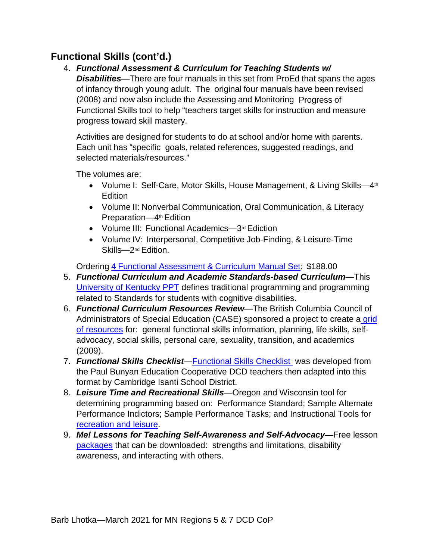## <span id="page-9-0"></span>**Functional Skills (cont'd.)**

4. *Functional Assessment & Curriculum for Teaching Students w/ Disabilities*—There are four manuals in this set from ProEd that spans the ages of infancy through young adult. The original four manuals have been revised (2008) and now also include the Assessing and Monitoring Progress of Functional Skills tool to help "teachers target skills for instruction and measure progress toward skill mastery.

Activities are designed for students to do at school and/or home with parents. Each unit has "specific goals, related references, suggested readings, and selected materials/resources."

The volumes are:

- Volume I: Self-Care, Motor Skills, House Management, & Living Skills—4<sup>th</sup> Edition
- Volume II: Nonverbal Communication, Oral Communication, & Literacy Preparation—4<sup>th</sup> Edition
- Volume III: Functional Academics-3rd Ediction
- Volume IV: Interpersonal, Competitive Job-Finding, & Leisure-Time Skills—2nd Edition.

Ordering 4 Functional [Assessment](https://www.proedinc.com/Products/12330/a-functional-assessment-and-curriculum-for-teaching-students-with-disabilities--volumes-iiv-complete-set.aspx?bCategory=FLS) & Curriculum Manual Set: \$188.00

- <span id="page-9-1"></span>5. *Functional Curriculum and Academic Standards-based Curriculum*—This [University of Kentucky PPT](http://www.naacpartners.org/presentations/presentations/national/TASH/12090.pdf) defines traditional programming and programming related to Standards for students with cognitive disabilities.
- <span id="page-9-2"></span>6. *Functional Curriculum Resources Review*—The British Columbia Council of Administrators of Special Education (CASE) sponsored a project to create a grid [of resources](https://static.fasdoutreach.ca/www/downloads/FunctionalCurriculumReview.pdf) for: general functional skills information, planning, life skills, selfadvocacy, social skills, personal care, sexuality, transition, and academics (2009).
- <span id="page-9-3"></span>7. *Functional Skills Checklist*[—Functional Skills Checklist](https://drive.google.com/file/d/1AixdHqet2g6eknluBx3_2Ssva2CWP0gf/view?usp=sharing) was developed from the Paul Bunyan Education Cooperative DCD teachers then adapted into this format by Cambridge Isanti School District.
- <span id="page-9-4"></span>8. *Leisure Time and Recreational Skills*—Oregon and Wisconsin tool for determining programming based on: Performance Standard; Sample Alternate Performance Indictors; Sample Performance Tasks; and Instructional Tools for [recreation and leisure.](https://www.crporegon.org/cms/lib/OR01928264/Centricity/Domain/45/Documents/assessment_part5.pdf)
- <span id="page-9-5"></span>9. *Me! Lessons for Teaching Self-Awareness and Self-Advocacy*—Free lesson [packages](https://www.ou.edu/education/centers-and-partnerships/zarrow/transition-education-materials) that can be downloaded: strengths and limitations, disability awareness, and interacting with others.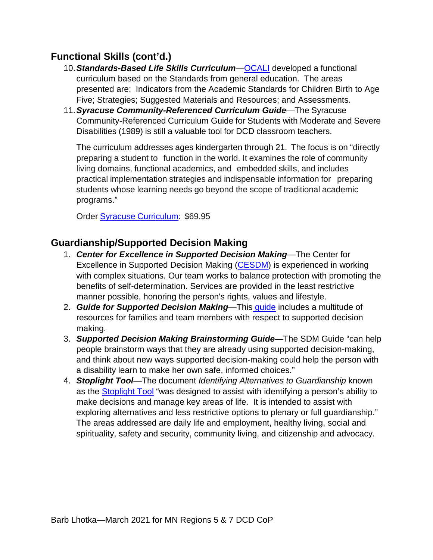#### <span id="page-10-0"></span>**Functional Skills (cont'd.)**

- 10.*Standards-Based Life Skills Curriculum*[—OCALI](https://www.ocali.org/up_doc/Standards-Based-Life-Skills-Curriculum.pdf) developed a functional curriculum based on the Standards from general education. The areas presented are: Indicators from the Academic Standards for Children Birth to Age Five; Strategies; Suggested Materials and Resources; and Assessments.
- <span id="page-10-1"></span>11.*Syracuse Community-Referenced Curriculum Guide*—The Syracuse Community-Referenced Curriculum Guide for Students with Moderate and Severe Disabilities (1989) is still a valuable tool for DCD classroom teachers.

The curriculum addresses ages kindergarten through 21. The focus is on "directly preparing a student to function in the world. It examines the role of community living domains, functional academics, and embedded skills, and includes practical implementation strategies and indispensable information for preparing students whose learning needs go beyond the scope of traditional academic programs."

Order Syracuse [Curriculum:](http://products.brookespublishing.com/The-Syracuse-Community-Referenced-Curriculum-Guide-for-Students-with-Moderate-and-Severe-Disabilities-P314.aspx) \$69.95

#### <span id="page-10-3"></span><span id="page-10-2"></span>**Guardianship/Supported Decision Making**

- 1. *Center for Excellence in Supported Decision Making*—The Center for Excellence in [Supported Decision Making](https://www.voamnwi.org/cesdm#:%7E:text=The%20Center%20for%20Excellence%20in%20Supported%20Decision%20Making%20(CESDM)%20is,person) [\(CESDM\)](https://www.voamnwi.org/cesdm) is experienced in working with complex situations. Our team works to balance protection with promoting the benefits of self-determination. Services are provided in the least restrictive manner possible, honoring the person's rights, values and lifestyle.
- <span id="page-10-4"></span>2. *Guide for Supported Decision Making*—This [guide](http://www.supporteddecisionmaking.org/resource-type/guide) includes a multitude of resources for families and team members with respect to supported decision making.
- <span id="page-10-5"></span>3. *Supported Decision Making Brainstorming Guide*—The SDM Guide "can help people brainstorm ways that they are already using supported decision-making, and think about new ways supported decision-making could help the person with a disability learn to make her own safe, informed choices."
- <span id="page-10-6"></span>4. *Stoplight Tool*—The document *Identifying Alternatives to Guardianship* known as the [Stoplight Tool](https://moguardianship.com/Alternatives%20to%20Guardianship%20Tool%20Revised%2011-2015.pdf) "was designed to assist with identifying a person's ability to make decisions and manage key areas of life. It is intended to assist with exploring alternatives and less restrictive options to plenary or full guardianship." The areas addressed are daily life and employment, healthy living, social and spirituality, safety and security, community living, and citizenship and advocacy.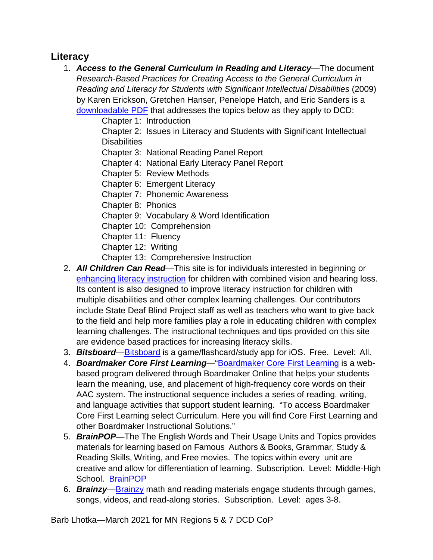#### <span id="page-11-1"></span><span id="page-11-0"></span>**Literacy**

- 1. *Access to the General Curriculum in Reading and Literacy*—The document *Research-Based Practices for Creating Access to the General Curriculum in Reading and Literacy for Students with Significant Intellectual Disabilities* (2009) by Karen Erickson, Gretchen Hanser, Penelope Hatch, and Eric Sanders is a [downloadable PDF](https://www.med.unc.edu/ahs/clds/files/2019/01/Reading-and-Literacy-for-Students-with-Significant-Intellectual-DisabilitiesErickson-et-al-2009-1.pdf) that addresses the topics below as they apply to DCD:
	- Chapter 1: Introduction
	- Chapter 2: Issues in Literacy and Students with Significant Intellectual **Disabilities**
	- Chapter 3: National Reading Panel Report
	- Chapter 4: National Early Literacy Panel Report
	- Chapter 5: Review Methods
	- Chapter 6: Emergent Literacy
	- Chapter 7: Phonemic Awareness
	- Chapter 8: Phonics
	- Chapter 9: Vocabulary & Word Identification
	- Chapter 10: Comprehension
	- Chapter 11: Fluency
	- Chapter 12: Writing
	- Chapter 13: Comprehensive Instruction
- <span id="page-11-2"></span>2. *All Children Can Read*—This site is for individuals interested in beginning or enhancing literacy instruction for children with combined vision and hearing loss. Its content is also designed to improve literacy instruction for children with multiple disabilities and other complex learning challenges. Our contributors include State Deaf Blind Project staff as well as teachers who want to give back to the field and help more families play a role in educating children with complex learning challenges. The instructional techniques and tips provided on this site are evidence based practices for increasing literacy skills.
- <span id="page-11-3"></span>3. *Bitsboard*[—Bitsboard](http://bitsboard.com/) is a game/flashcard/study app for iOS. Free. Level: All.
- <span id="page-11-4"></span>4. *Boardmaker Core First Learning*—["Boardmaker Core First Learning](https://goboardmaker.com/blogs/support-tutorials/getting-started-with-boardmaker-core-first-learning) is a webbased program delivered through Boardmaker Online that helps your students learn the meaning, use, and placement of high-frequency core words on their AAC system. The instructional sequence includes a series of reading, writing, and language activities that support student learning. "To access Boardmaker Core First Learning select Curriculum. Here you will find Core First Learning and other Boardmaker Instructional Solutions."
- <span id="page-11-5"></span>5. *BrainPOP*—The The English Words and Their Usage Units and Topics provides materials for learning based on Famous Authors & Books, Grammar, Study & Reading Skills, Writing, and Free movies. The topics within every unit are creative and allow for differentiation of learning. Subscription. Level: Middle-High School. [BrainPOP](https://www.brainpop.com/english/)
- <span id="page-11-6"></span>6. *Brainzy*[—Brainzy](https://www.education.com/games/play/#login) math and reading materials engage students through games, songs, videos, and read-along stories. Subscription. Level: ages 3-8.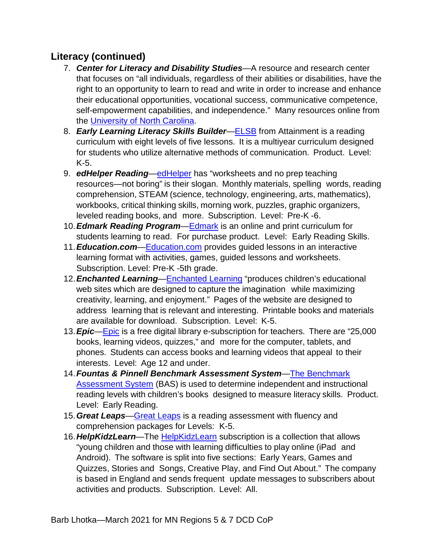- <span id="page-12-0"></span>7. *Center for Literacy and Disability Studies*—A resource and research center that focuses on "all individuals, regardless of their abilities or disabilities, have the right to an opportunity to learn to read and write in order to increase and enhance their educational opportunities, vocational success, communicative competence, self-empowerment capabilities, and independence." Many resources online from the [University of North Carolina.](https://www.med.unc.edu/ahs/clds/)
- <span id="page-12-1"></span>8. *Early Learning Literacy Skills Builder*[—ELSB](https://www.attainmentcompany.com/catalogsearch/result/?q=elsb&amnoroute) from Attainment is a reading curriculum with eight levels of five lessons. It is a multiyear curriculum designed for students who utilize alternative methods of communication. Product. Level: K-5.
- <span id="page-12-2"></span>9. *edHelper Reading*[—edHelper](https://www.edhelper.com/ReadingComprehension.htm) has "worksheets and no prep teaching resources—not boring" is their slogan. Monthly materials, spelling words, reading comprehension, STEAM (science, technology, engineering, arts, mathematics), workbooks, critical thinking skills, morning work, puzzles, graphic organizers, leveled reading books, and more. Subscription. Level: Pre-K -6.
- <span id="page-12-3"></span>10.*Edmark Reading Program*[—Edmark](https://www.proedinc.com/Downloads/13621ERP2eL1Program%20Overview.pdf) is an online and print curriculum for students learning to read. For purchase product. Level: Early Reading Skills.
- <span id="page-12-4"></span>11.*Education.com*[—Education.com](https://www.education.com/games/play/) provides guided lessons in an interactive learning format with activities, games, guided lessons and worksheets. Subscription. Level: Pre-K -5th grade.
- <span id="page-12-5"></span>12.*Enchanted Learning*[—Enchanted Learning](http://www.enchantedlearning.com/Home.html) "produces children's educational web sites which are designed to capture the imagination while maximizing creativity, learning, and enjoyment." Pages of the website are designed to address learning that is relevant and interesting. Printable books and materials are available for download. Subscription. Level: K-5.
- <span id="page-12-6"></span>13.*Epic*[—Epic](https://www.getepic.com/) is a free digital library e-subscription for teachers. There are "25,000 books, learning videos, quizzes," and more for the computer, tablets, and phones. Students can access books and learning videos that appeal to their interests. Level: Age 12 and under.
- <span id="page-12-7"></span>14.*Fountas & Pinnell Benchmark Assessment System*[—The Benchmark](https://www.fountasandpinnell.com/bas/)  [Assessment System](https://www.fountasandpinnell.com/bas/) (BAS) is used to determine independent and instructional reading levels with children's books designed to measure literacy skills. Product. Level: Early Reading.
- <span id="page-12-8"></span>15.*Great Leaps*[—Great Leaps](https://greatleaps.com/) is a reading assessment with fluency and comprehension packages for Levels: K-5.
- <span id="page-12-9"></span>16.*HelpKidzLearn*—The [HelpKidzLearn](https://www.helpkidzlearn.com/) subscription is a collection that allows "young children and those with learning difficulties to play online (iPad and Android). The software is split into five sections: Early Years, Games and Quizzes, Stories and Songs, Creative Play, and Find Out About." The company is based in England and sends frequent update messages to subscribers about activities and products. Subscription. Level: All.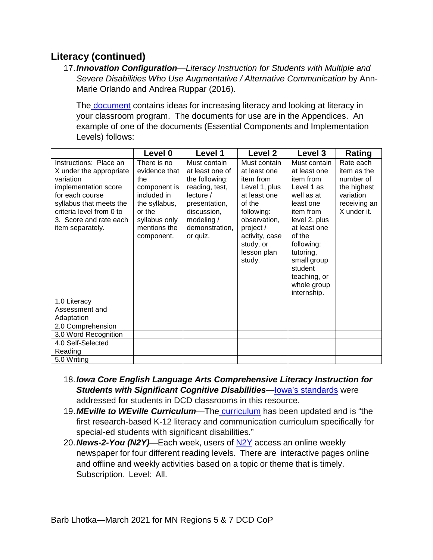<span id="page-13-0"></span>17.*Innovation Configuration*—*Literacy Instruction for Students with Multiple and Severe Disabilities Who Use Augmentative / Alternative Communication* by Ann-Marie Orlando and Andrea Ruppar (2016).

The [document](https://ceedar.education.ufl.edu/wp-content/uploads/2016/10/IC-Literacy-multiple-severe-disabilities.pdf) contains ideas for increasing literacy and looking at literacy in your classroom program. The documents for use are in the Appendices. An example of one of the documents (Essential Components and Implementation Levels) follows:

|                                                                                                                                                                                                                | Level 0                                                                                                                                      | Level 1                                                                                                                                                     | Level <sub>2</sub>                                                                                                                                                                      | Level 3                                                                                                                                                                                                                        | Rating                                                                                           |
|----------------------------------------------------------------------------------------------------------------------------------------------------------------------------------------------------------------|----------------------------------------------------------------------------------------------------------------------------------------------|-------------------------------------------------------------------------------------------------------------------------------------------------------------|-----------------------------------------------------------------------------------------------------------------------------------------------------------------------------------------|--------------------------------------------------------------------------------------------------------------------------------------------------------------------------------------------------------------------------------|--------------------------------------------------------------------------------------------------|
| Instructions: Place an<br>X under the appropriate<br>variation<br>implementation score<br>for each course<br>syllabus that meets the<br>criteria level from 0 to<br>3. Score and rate each<br>item separately. | There is no<br>evidence that<br>the<br>component is<br>included in<br>the syllabus,<br>or the<br>syllabus only<br>mentions the<br>component. | Must contain<br>at least one of<br>the following:<br>reading, test,<br>lecture/<br>presentation,<br>discussion,<br>modeling /<br>demonstration,<br>or quiz. | Must contain<br>at least one<br>item from<br>Level 1, plus<br>at least one<br>of the<br>following:<br>observation,<br>project /<br>activity, case<br>study, or<br>lesson plan<br>study. | Must contain<br>at least one<br>item from<br>Level 1 as<br>well as at<br>least one<br>item from<br>level 2, plus<br>at least one<br>of the<br>following:<br>tutoring,<br>small group<br>student<br>teaching, or<br>whole group | Rate each<br>item as the<br>number of<br>the highest<br>variation<br>receiving an<br>X under it. |
| 1.0 Literacy<br>Assessment and<br>Adaptation                                                                                                                                                                   |                                                                                                                                              |                                                                                                                                                             |                                                                                                                                                                                         | internship.                                                                                                                                                                                                                    |                                                                                                  |
| 2.0 Comprehension                                                                                                                                                                                              |                                                                                                                                              |                                                                                                                                                             |                                                                                                                                                                                         |                                                                                                                                                                                                                                |                                                                                                  |
| 3.0 Word Recognition                                                                                                                                                                                           |                                                                                                                                              |                                                                                                                                                             |                                                                                                                                                                                         |                                                                                                                                                                                                                                |                                                                                                  |
| 4.0 Self-Selected<br>Reading                                                                                                                                                                                   |                                                                                                                                              |                                                                                                                                                             |                                                                                                                                                                                         |                                                                                                                                                                                                                                |                                                                                                  |
| 5.0 Writing                                                                                                                                                                                                    |                                                                                                                                              |                                                                                                                                                             |                                                                                                                                                                                         |                                                                                                                                                                                                                                |                                                                                                  |

- <span id="page-13-1"></span>18.*Iowa Core English Language Arts Comprehensive Literacy Instruction for Students with Significant Cognitive Disabilities*[—Iowa's standards](https://iowacore.gov/content/iowa-core-english-language-arts-comprehensive-literacy-instruction-students-significant) were addressed for students in DCD classrooms in this resource.
- <span id="page-13-2"></span>19.*MEville to WEville Curriculum*—The [curriculum](https://www.spectronics.com.au/product/meville-to-weville-complete-collection-ablenet-bundle-updated-version) has been updated and is "the first research-based K-12 literacy and communication curriculum specifically for special-ed students with significant disabilities."
- <span id="page-13-3"></span>20.*News-2-You (N2Y)*—Each week, users of [N2Y](https://www.n2y.com/news-2-you/) access an online weekly newspaper for four different reading levels. There are interactive pages online and offline and weekly activities based on a topic or theme that is timely. Subscription. Level: All.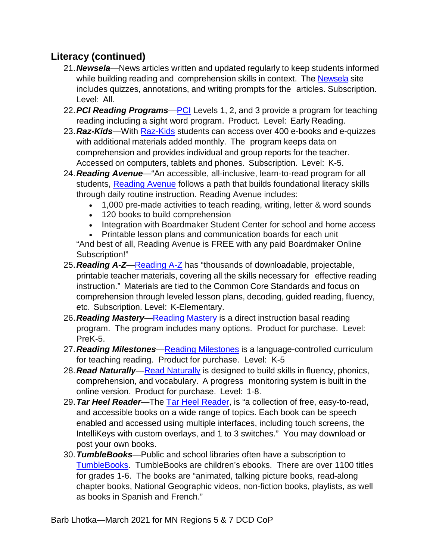- <span id="page-14-0"></span>21.*Newsela*—News articles written and updated regularly to keep students informed while building reading and comprehension skills in context. The [Newsela](https://newsela.com/) site includes quizzes, annotations, and writing prompts for the articles. Subscription. Level: All.
- <span id="page-14-1"></span>22.*PCI Reading Programs*[—PCI](https://www.proedinc.com/Downloads/PCIRPL1&L2_PrintKits_brochure.pdf) Levels 1, 2, and 3 provide a program for teaching reading including a sight word program. Product. Level: Early Reading.
- <span id="page-14-2"></span>23.*Raz-Kids*—With [Raz-Kids](https://www.raz-kids.com/) students can access over 400 e-books and e-quizzes with additional materials added monthly. The program keeps data on comprehension and provides individual and group reports for the teacher. Accessed on computers, tablets and phones. Subscription. Level: K-5.
- <span id="page-14-3"></span>24.*Reading Avenue*—"An accessible, all-inclusive, learn-to-read program for all students, [Reading Avenue](https://goboardmaker.com/blogs/knowledge-base/reading-avenue) follows a path that builds foundational literacy skills through daily routine instruction. Reading Avenue includes:
	- 1,000 pre-made activities to teach reading, writing, letter & word sounds
	- 120 books to build comprehension
	- Integration with Boardmaker Student Center for school and home access
	- Printable lesson plans and communication boards for each unit

"And best of all, Reading Avenue is FREE with any paid Boardmaker Online Subscription!"

- <span id="page-14-4"></span>25.*Reading A-Z*[—Reading A-Z](https://www.readinga-z.com/) has "thousands of downloadable, projectable, printable teacher materials, covering all the skills necessary for effective reading instruction." Materials are tied to the Common Core Standards and focus on comprehension through leveled lesson plans, decoding, guided reading, fluency, etc. Subscription. Level: K-Elementary.
- <span id="page-14-5"></span>26.*Reading Mastery*[—Reading Mastery](https://www.mheducation.com/prek-12/program/reading-mastery-signature-edition-2008-2008/MKTSP-UQM08M02.html?page=1&sortby=title&order=asc&bu=seg) is a direct instruction basal reading program. The program includes many options. Product for purchase. Level: PreK-5.
- <span id="page-14-6"></span>27.*Reading Milestones*[—Reading Milestones](https://www.proedinc.com/Products/13950/reading-milestonesfourth-edition-level-1-red-package.aspx) is a language-controlled curriculum for teaching reading. Product for purchase. Level: K-5
- <span id="page-14-7"></span>28.*Read Naturally*[—Read Naturally](https://www.readnaturally.com/) is designed to build skills in fluency, phonics, comprehension, and vocabulary. A progress monitoring system is built in the online version. Product for purchase. Level: 1-8.
- <span id="page-14-8"></span>29.*Tar Heel Reader*—The [Tar Heel Reader,](https://tarheelreader.org/) is "a collection of free, easy-to-read, and accessible books on a wide range of topics. Each book can be speech enabled and accessed using multiple interfaces, including touch screens, the IntelliKeys with custom overlays, and 1 to 3 switches." You may download or post your own books.
- <span id="page-14-9"></span>30.*TumbleBooks*—Public and school libraries often have a subscription to [TumbleBooks.](https://www.tumblebooks.com/) TumbleBooks are children's ebooks. There are over 1100 titles for grades 1-6. The books are "animated, talking picture books, read-along chapter books, National Geographic videos, non-fiction books, playlists, as well as books in Spanish and French."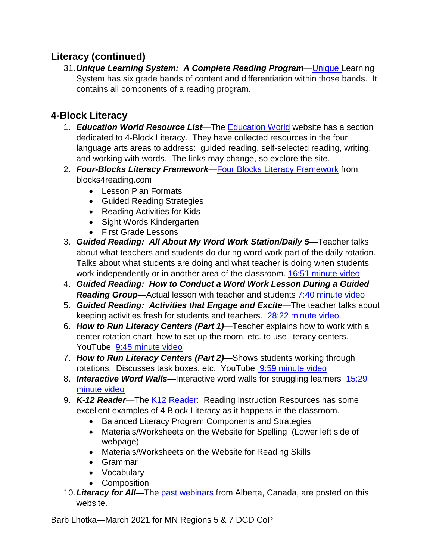<span id="page-15-0"></span>31.*Unique Learning System: A Complete Reading Program*[—Unique L](https://www.n2y.com/blog/unique-learning-system-a-complete-reading-program/)earning System has six grade bands of content and differentiation within those bands. It contains all components of a reading program.

# <span id="page-15-2"></span><span id="page-15-1"></span>**4-Block Literacy**

- 1. *Education World Resource List*—The [Education World](https://www.educationworld.com/a_curr/virtualwkshp/virtualwkshp003.shtml) website has a section dedicated to 4-Block Literacy. They have collected resources in the four language arts areas to address: guided reading, self-selected reading, writing, and working with words. The links may change, so explore the site.
- <span id="page-15-3"></span>2. *Four-Blocks Literacy Framework*[—Four Blocks Literacy Framework](http://www.blocks4reading.com/) from blocks4reading.com
	- Lesson Plan Formats
	- Guided Reading Strategies
	- Reading Activities for Kids
	- Sight Words Kindergarten
	- First Grade Lessons
- <span id="page-15-4"></span>3. *Guided Reading: All About My Word Work Station/Daily 5*—Teacher talks about what teachers and students do during word work part of the daily rotation. Talks about what students are doing and what teacher is doing when students work independently or in another area of the classroom. [16:51 minute video](https://www.youtube.com/watch?v=1SPQprLLGSQ&t=19s)
- <span id="page-15-5"></span>4. *Guided Reading: How to Conduct a Word Work Lesson During a Guided Reading Group*—Actual lesson with teacher and students [7:40 minute video](https://www.youtube.com/watch?v=c7BJvLEyHlU)
- <span id="page-15-6"></span>5. *Guided Reading: Activities that Engage and Excite*—The teacher talks about keeping activities fresh for students and teachers. [28:22 minute video](https://www.youtube.com/watch?v=SGA0owtm9zI)
- <span id="page-15-7"></span>6. *How to Run Literacy Centers (Part 1)*—Teacher explains how to work with a center rotation chart, how to set up the room, etc. to use literacy centers. YouTube [9:45 minute video](https://www.youtube.com/watch?v=Q5fja7UoLto)
- <span id="page-15-8"></span>7. *How to Run Literacy Centers (Part 2)*—Shows students working through rotations. Discusses task boxes, etc. YouTube [9:59 minute video](https://www.youtube.com/watch?v=SCPzrRBpd-E)
- <span id="page-15-9"></span>8. *Interactive Word Walls*—Interactive word walls for struggling learners [15:29](https://www.youtube.com/watch?v=AKmUL1TzAQQ)  [minute video](https://www.youtube.com/watch?v=AKmUL1TzAQQ)
- <span id="page-15-10"></span>9. **K-12 Reader**—The [K12 Reader:](https://www.k12reader.com/category/balanced-literacy/) Reading Instruction Resources has some excellent examples of 4 Block Literacy as it happens in the classroom.
	- Balanced Literacy Program Components and Strategies
	- Materials/Worksheets on the Website for Spelling (Lower left side of webpage)
	- Materials/Worksheets on the Website for Reading Skills
	- Grammar
	- Vocabulary
	- Composition
- <span id="page-15-11"></span>10.*Literacy for All*—The [past webinars](http://literacyforallab.ca/past-webinars/) from Alberta, Canada, are posted on this website.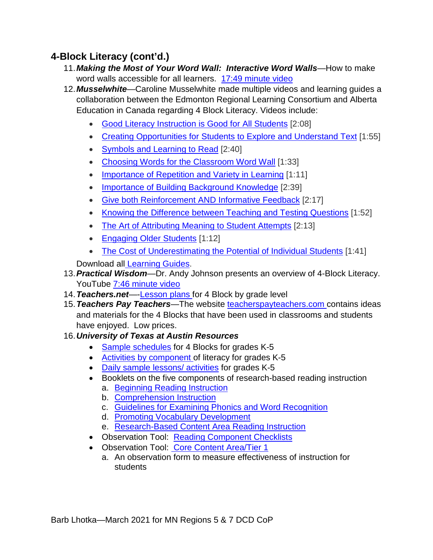# <span id="page-16-0"></span>**4-Block Literacy (cont'd.)**

- 11.*Making the Most of Your Word Wall: Interactive Word Walls*—How to make word walls accessible for all learners. [17:49 minute video](https://www.youtube.com/watch?v=lwf8ob8BqJo)
- <span id="page-16-1"></span>12.*Musselwhite*—Caroline Musselwhite made multiple videos and learning guides a collaboration between the Edmonton Regional Learning Consortium and Alberta Education in Canada regarding 4 Block Literacy. Videos include:
	- Good Literacy [Instruction](http://inclusiveeducationpdresources.com/literacy/conversation_with_caroline_musselwhite.php#0) is Good for All Students [2:08]
	- Creating [Opportunities](http://inclusiveeducationpdresources.com/literacy/conversation_with_caroline_musselwhite.php#1) for Students to Explore and Understand Text [1:55]
	- Symbols and [Learning](http://inclusiveeducationpdresources.com/literacy/conversation_with_caroline_musselwhite.php#2) to Read [2:40]
	- Choosing Words for the [Classroom](http://inclusiveeducationpdresources.com/literacy/conversation_with_caroline_musselwhite.php#3) Word Wall [1:33]
	- [Importance](http://inclusiveeducationpdresources.com/literacy/conversation_with_caroline_musselwhite.php#4) of Repetition and Variety in Learning [1:11]
	- Importance of Building [Background](http://inclusiveeducationpdresources.com/literacy/conversation_with_caroline_musselwhite.php#5) Knowledge [2:39]
	- Give both [Reinforcement](http://inclusiveeducationpdresources.com/literacy/conversation_with_caroline_musselwhite.php#6) AND Informative Feedback [2:17]
	- Knowing the [Difference](http://inclusiveeducationpdresources.com/literacy/conversation_with_caroline_musselwhite.php#7) between Teaching and Testing Questions [1:52]
	- The Art of [Attributing](http://inclusiveeducationpdresources.com/literacy/conversation_with_caroline_musselwhite.php#8) Meaning to Student Attempts [2:13]
	- [Engaging](http://inclusiveeducationpdresources.com/literacy/conversation_with_caroline_musselwhite.php#9) Older Students [1:12]
	- The Cost of [Underestimating](http://inclusiveeducationpdresources.com/literacy/conversation_with_caroline_musselwhite.php#10) the Potential of Individual Students [1:41]

Download all [Learning Guides.](http://inclusiveeducationpdresources.com/literacy/learning_guides/complete_guide.pdf)

- <span id="page-16-2"></span>13.*Practical Wisdom*—Dr. Andy Johnson presents an overview of 4-Block Literacy. YouTube [7:46 minute video](https://www.youtube.com/watch?v=GA690JHdxIM)
- <span id="page-16-3"></span>14.*Teachers.net*—[-Lesson plans f](https://teachers.net/lessonplans/subjects/4blocks/)or 4 Block by grade level
- <span id="page-16-4"></span>15.*Teachers Pay Teachers*—The website [teacherspayteachers.com c](https://www.teacherspayteachers.com/Browse/Search:4%20blocks)ontains ideas and materials for the 4 Blocks that have been used in classrooms and students have enjoyed. Low prices.

#### <span id="page-16-5"></span>16.*University of Texas at Austin Resources*

- [Sample schedules](https://buildingrti.utexas.org/sites/default/files/documents/Reading%20Blocks.pdf) for 4 Blocks for grades K-5
- [Activities by component o](https://buildingrti.utexas.org/sites/default/files/documents/Centers.pdf)f literacy for grades K-5
- [Daily sample lessons/ activities](https://buildingrti.utexas.org/sites/default/files/resource_files/Daily%20Lessons_Phonics_0.pdf) for grades K-5
- Booklets on the five components of research-based reading instruction
	- a. [Beginning Reading Instruction](https://buildingrti.utexas.org/sites/default/files/booklets/redbk1.pdf)
	- b. Comprehension Instruction
	- c. [Guidelines for Examining Phonics and Word Recognition](https://buildingrti.utexas.org/sites/default/files/booklets/redbk3.pdf)
	- d. [Promoting Vocabulary Development](https://buildingrti.utexas.org/sites/default/files/booklets/redbk5.pdf)
	- e. [Research-Based Content Area Reading Instruction](https://buildingrti.utexas.org/sites/default/files/booklets/redbk4.pdf)
- Observation Tool: [Reading Component Checklists](https://buildingrti.utexas.org/sites/default/files/resource_files/Component_check.pdf)
- Observation Tool: [Core Content Area/Tier 1](https://buildingrti.utexas.org/sites/default/files/documents/Instructional_Observation.pdf)
	- a. An observation form to measure effectiveness of instruction for students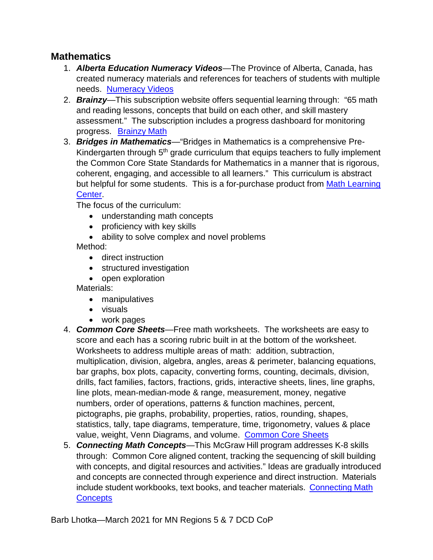#### <span id="page-17-1"></span><span id="page-17-0"></span>**Mathematics**

- 1. *Alberta Education Numeracy Videos*—The Province of Alberta, Canada, has created numeracy materials and references for teachers of students with multiple needs. [Numeracy Videos](https://education.alberta.ca/literacy-and-numeracy/numeracy/everyone/numeracy-resource-links/)
- <span id="page-17-2"></span>2. *Brainzy*—This subscription website offers sequential learning through: "65 math and reading lessons, concepts that build on each other, and skill mastery assessment." The subscription includes a progress dashboard for monitoring progress. [Brainzy](https://www.education.com/games/info/) Math
- <span id="page-17-3"></span>3. *Bridges in Mathematics*—"Bridges in Mathematics is a comprehensive Pre-Kindergarten through  $5<sup>th</sup>$  grade curriculum that equips teachers to fully implement the Common Core State Standards for Mathematics in a manner that is rigorous, coherent, engaging, and accessible to all learners." This curriculum is abstract but helpful for some students. This is a for-purchase product from Math Learning [Center.](http://www.mathlearningcenter.org/bridges)

The focus of the curriculum:

- understanding math concepts
- proficiency with key skills
- ability to solve complex and novel problems Method:
	- direct instruction
	- structured investigation
	- open exploration

Materials:

- manipulatives
- visuals
- work pages
- <span id="page-17-4"></span>4. *Common Core Sheets*—Free math worksheets. The worksheets are easy to score and each has a scoring rubric built in at the bottom of the worksheet. Worksheets to address multiple areas of math: addition, subtraction, multiplication, division, algebra, angles, areas & perimeter, balancing equations, bar graphs, box plots, capacity, converting forms, counting, decimals, division, drills, fact families, factors, fractions, grids, interactive sheets, lines, line graphs, line plots, mean-median-mode & range, measurement, money, negative numbers, order of operations, patterns & function machines, percent, pictographs, pie graphs, probability, properties, ratios, rounding, shapes, statistics, tally, tape diagrams, temperature, time, trigonometry, values & place value, weight, Venn Diagrams, and volume. [Common Core Sheets](http://www.commoncoresheets.com/)
- <span id="page-17-5"></span>5. *Connecting Math Concepts*—This McGraw Hill program addresses K-8 skills through: Common Core aligned content, tracking the sequencing of skill building with concepts, and digital resources and activities." Ideas are gradually introduced and concepts are connected through experience and direct instruction. Materials include student workbooks, text books, and teacher materials. [Connecting](https://www.mheonline.com/directinstruction/connecting-math-concepts/) Math **[Concepts](https://www.mheonline.com/directinstruction/connecting-math-concepts/)**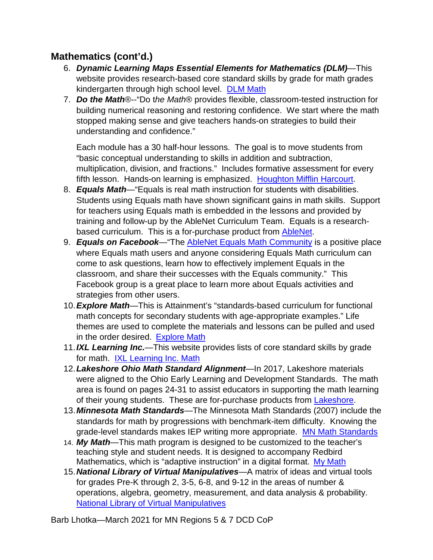## <span id="page-18-0"></span>**Mathematics (cont'd.)**

- 6. *Dynamic Learning Maps Essential Elements for Mathematics (DLM)*—This website provides research-based core standard skills by grade for math grades kindergarten through high school level. [DLM Math](https://dynamiclearningmaps.org/sites/default/files/documents/Math_EEs/DLM_Essential_Elements_Math_%282013%29_v4.pdf)
- <span id="page-18-1"></span>7. *Do the Math*®--"Do t*he Math*® provides flexible, classroom-tested instruction for building numerical reasoning and restoring confidence. We start where the math stopped making sense and give teachers hands-on strategies to build their understanding and confidence."

Each module has a 30 half-hour lessons. The goal is to move students from "basic conceptual understanding to skills in addition and subtraction, multiplication, division, and fractions." Includes formative assessment for every fifth lesson. Hands-on learning is emphasized. [Houghton Mifflin Harcourt.](https://www.hmhco.com/programs/do-the-math)

- <span id="page-18-2"></span>8. *Equals Math*—"Equals is real math instruction for students with disabilities. Students using Equals math have shown significant gains in math skills. Support for teachers using Equals math is embedded in the lessons and provided by training and follow-up by the AbleNet Curriculum Team. Equals is a researchbased curriculum. This is a for-purchase product from [AbleNet.](http://www.ablenetinc.com/equals-mathematics)
- <span id="page-18-3"></span>9. *Equals on Facebook*—"The [AbleNet Equals Math Community](https://www.facebook.com/groups/AbleNetEqualsMathCommunity/) is a positive place where Equals math users and anyone considering Equals Math curriculum can come to ask questions, learn how to effectively implement Equals in the classroom, and share their successes with the Equals community." This Facebook group is a great place to learn more about Equals activities and strategies from other users.
- <span id="page-18-4"></span>10.*Explore Math*—This is Attainment's "standards-based curriculum for functional math concepts for secondary students with age-appropriate examples." Life themes are used to complete the materials and lessons can be pulled and used in the order desired. [Explore](https://www.attainmentcompany.com/explore-math) Math
- <span id="page-18-5"></span>11.*IXL Learning Inc.*—This website provides lists of core standard skills by grade for math. [IXL Learning Inc. Math](http://www.ixl.com/)
- <span id="page-18-6"></span>12.*Lakeshore Ohio Math Standard Alignment*—In 2017, Lakeshore materials were aligned to the Ohio Early Learning and Development Standards. The math area is found on pages 24-31 to assist educators in supporting the math learning of their young students. These are for-purchase products from **Lakeshore**.
- <span id="page-18-7"></span>13.*Minnesota Math Standards*—The Minnesota Math Standards (2007) include the standards for math by progressions with benchmark-item difficulty. Knowing the grade-level standards makes IEP writing more appropriate. [MN Math Standards](https://education.mn.gov/mdeprod/groups/educ/documents/hiddencontent/bwrl/mdm0/%7Eedisp/mde034460.pdf)
- <span id="page-18-8"></span>14. *My Math*—This math program is designed to be customized to the teacher's teaching style and student needs. It is designed to accompany Redbird Mathematics, which is "adaptive instruction" in a digital format. My [Math](https://www.mheducation.com/prek-12/program/MKTSP-ACJ04M0.html)
- <span id="page-18-9"></span>15.*National Library of Virtual Manipulatives*—A matrix of ideas and virtual tools for grades Pre-K through 2, 3-5, 6-8, and 9-12 in the areas of number & operations, algebra, geometry, measurement, and data analysis & probability. [National Library of Virtual Manipulatives](http://www.nlvm.usu.edu/)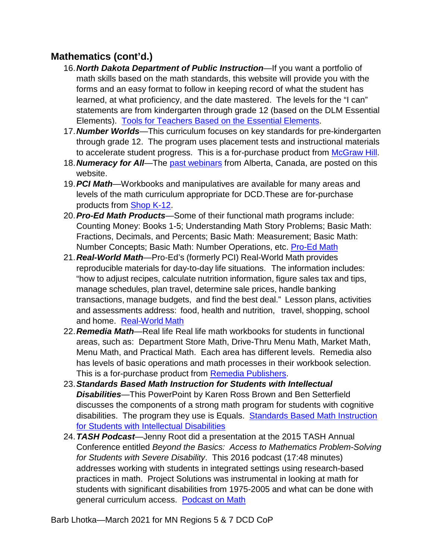## <span id="page-19-0"></span>**Mathematics (cont'd.)**

- 16.*North Dakota Department of Public Instruction*—If you want a portfolio of math skills based on the math standards, this website will provide you with the forms and an easy format to follow in keeping record of what the student has learned, at what proficiency, and the date mastered. The levels for the "I can" statements are from kindergarten through grade 12 (based on the DLM Essential Elements). [Tools for Teachers Based on the Essential Elements.](https://www.nd.gov/dpi/SchoolStaff/SpecialEd/NDAlternateAssessmentELAMath/ToolsforTeachers/)
- <span id="page-19-1"></span>17.*Number Worlds*—This curriculum focuses on key standards for pre-kindergarten through grade 12. The program uses placement tests and instructional materials to accelerate student progress. This is a for-purchase product from [McGraw Hill.](https://www.mheducation.com/prek-12/program/microsites/MKTSP-TIG05M0.html)
- <span id="page-19-2"></span>18.*Numeracy for All*—The [past webinars](http://numeracyforallab.ca/past-webinars/) from Alberta, Canada, are posted on this website.
- <span id="page-19-3"></span>19.*PCI Math*—Workbooks and manipulatives are available for many areas and levels of the math curriculum appropriate for DCD.These are for-purchase products from [Shop K-12.](http://www.shopk12.com/math)
- <span id="page-19-4"></span>20.*Pro-Ed Math Products*—Some of their functional math programs include: Counting Money: Books 1-5; Understanding Math Story Problems; Basic Math: Fractions, Decimals, and Percents; Basic Math: Measurement; Basic Math: Number Concepts; Basic Math: Number Operations, etc. [Pro-Ed](http://www.proedinc.com/customer/productLists.aspx?SearchType=CategoryBrand&idCategory=88&brandID=3) Math
- <span id="page-19-5"></span>21.*Real-World Math*—Pro-Ed's (formerly PCI) Real-World Math provides reproducible materials for day-to-day life situations. The information includes: "how to adjust recipes, calculate nutrition information, figure sales tax and tips, manage schedules, plan travel, determine sale prices, handle banking transactions, manage budgets, and find the best deal." Lesson plans, activities and assessments address: food, health and nutrition, travel, shopping, school and home. [Real-World](http://www.shopk12.com/real-world-math-1) Math
- <span id="page-19-6"></span>22.*Remedia Math*—Real life Real life math workbooks for students in functional areas, such as: Department Store Math, Drive-Thru Menu Math, Market Math, Menu Math, and Practical Math. Each area has different levels. Remedia also has levels of basic operations and math processes in their workbook selection. This is a for-purchase product from [Remedia Publishers.](https://www.rempub.com/menu-math)
- <span id="page-19-7"></span>23.*Standards Based Math Instruction for Students with Intellectual Disabilities*—This PowerPoint by Karen Ross Brown and Ben Setterfield discusses the components of a strong math program for students with cognitive disabilities. The program they use is Equals. [Standards Based Math Instruction](https://goo.gl/UxxrtS)  [for Students with Intellectual Disabilities](https://goo.gl/UxxrtS)
- <span id="page-19-8"></span>24.*TASH Podcast*—Jenny Root did a presentation at the 2015 TASH Annual Conference entitled *Beyond the Basics: Access to Mathematics Problem-Solving for Students with Severe Disability*. This 2016 podcast (17:48 minutes) addresses working with students in integrated settings using research-based practices in math. Project Solutions was instrumental in looking at math for students with significant disabilities from 1975-2005 and what can be done with general curriculum access. [Podcast on Math](https://tash.org/news/teaching-math-to-students-with-disabilities-what-weve-learned-in-10-years/)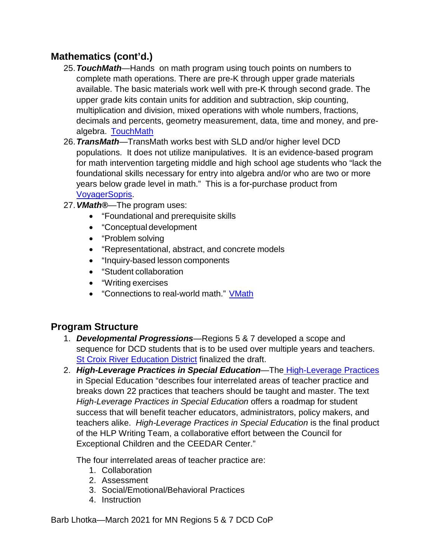## <span id="page-20-0"></span>**Mathematics (cont'd.)**

- 25.*TouchMath*—Hands on math program using touch points on numbers to complete math operations. There are pre-K through upper grade materials available. The basic materials work well with pre-K through second grade. The upper grade kits contain units for addition and subtraction, skip counting, multiplication and division, mixed operations with whole numbers, fractions, decimals and percents, geometry measurement, data, time and money, and prealgebra. [TouchMath](https://www.touchmath.com/)
- <span id="page-20-1"></span>26.*TransMath*—TransMath works best with SLD and/or higher level DCD populations. It does not utilize manipulatives. It is an evidence-based program for math intervention targeting middle and high school age students who "lack the foundational skills necessary for entry into algebra and/or who are two or more years below grade level in math." This is a for-purchase product from [VoyagerSopris.](https://www.voyagersopris.com/math/transmath/overview)
- <span id="page-20-2"></span>27.*VMath®*—The program uses:
	- "Foundational and prerequisite skills
	- "Conceptual development
	- "Problem solving
	- "Representational, abstract, and concrete models
	- "Inquiry-based lesson components
	- "Student collaboration
	- "Writing exercises
	- "Connections to real-world math." [VMath](http://www.voyagersopris.com/math/vmath/overview)

#### <span id="page-20-4"></span><span id="page-20-3"></span>**Program Structure**

- 1. *Developmental Progressions*—Regions 5 & 7 developed a scope and sequence for DCD students that is to be used over multiple years and teachers. [St Croix River Education District](https://docs.google.com/document/d/1vz1dyiY7SYaTOt7-U-Vg4GipoBYTpLjOTEBamWpulDE/edit) finalized the draft.
- <span id="page-20-5"></span>2. *High-Leverage Practices in Special Education*—The [High-Leverage Practices](https://highleveragepractices.org/) in Special Education "describes four interrelated areas of teacher practice and breaks down 22 practices that teachers should be taught and master. The text *High-Leverage Practices in Special Education* offers a roadmap for student success that will benefit teacher educators, administrators, policy makers, and teachers alike. *High-Leverage Practices in Special Education* is the final product of the HLP Writing Team, a collaborative effort between the Council for Exceptional Children and the CEEDAR Center."

The four interrelated areas of teacher practice are:

- 1. Collaboration
- 2. Assessment
- 3. Social/Emotional/Behavioral Practices
- 4. Instruction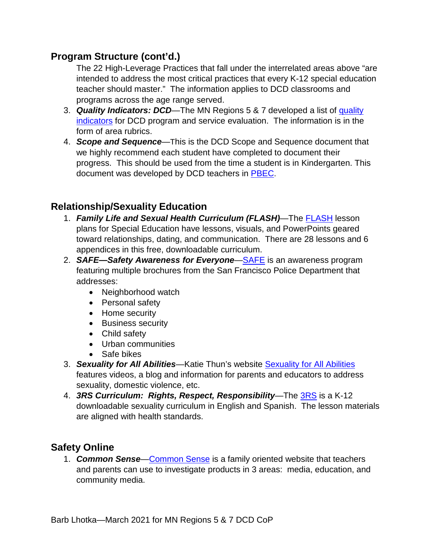#### **Program Structure (cont'd.)**

The 22 High-Leverage Practices that fall under the interrelated areas above "are intended to address the most critical practices that every K-12 special education teacher should master." The information applies to DCD classrooms and programs across the age range served.

- <span id="page-21-0"></span>3. *Quality Indicators: DCD*—The MN Regions 5 & 7 developed a list of [quality](https://dac0db7b-798c-4baa-aa85-3b9600135231.filesusr.com/ugd/4b3f5e_e4cd48b064d04383aafe8fa2692961b4.pdf)  [indicators](https://dac0db7b-798c-4baa-aa85-3b9600135231.filesusr.com/ugd/4b3f5e_e4cd48b064d04383aafe8fa2692961b4.pdf) for DCD program and service evaluation. The information is in the form of area rubrics.
- <span id="page-21-1"></span>4. *Scope and Sequence*—This is the DCD Scope and Sequence document that we highly recommend each student have completed to document their progress. This should be used from the time a student is in Kindergarten. This document was developed by DCD teachers in [PBEC.](https://docs.google.com/document/d/1fvlSVC-qKqcHkVZzkpMRa0Sun1zgMI-QYIeyfO6_Fdg/edit)

## <span id="page-21-3"></span><span id="page-21-2"></span>**Relationship/Sexuality Education**

- 1. *Family Life and Sexual Health Curriculum (FLASH)*—The [FLASH](https://www.kingcounty.gov/depts/health/locations/family-planning/education/FLASH/special-education.aspx) lesson plans for Special Education have lessons, visuals, and PowerPoints geared toward relationships, dating, and communication. There are 28 lessons and 6 appendices in this free, downloadable curriculum.
- <span id="page-21-4"></span>2. *SAFE—Safety Awareness for Everyone*[—SAFE](https://sfsafe.org/) is an awareness program featuring multiple brochures from the San Francisco Police Department that addresses:
	- Neighborhood watch
	- Personal safety
	- Home security
	- Business security
	- Child safety
	- Urban communities
	- Safe bikes
- <span id="page-21-5"></span>3. *Sexuality for All Abilities*—Katie Thun's website [Sexuality for All Abilities](https://www.sexualityforallabilities.com/parents-caregivers/) features videos, a blog and information for parents and educators to address sexuality, domestic violence, etc.
- <span id="page-21-6"></span>4. *3RS Curriculum: Rights, Respect, Responsibility*—The [3RS](https://3rs.org/3rs-curriculum) is a K-12 downloadable sexuality curriculum in English and Spanish. The lesson materials are aligned with health standards.

## <span id="page-21-8"></span><span id="page-21-7"></span>**Safety Online**

1. *Common Sense*[—Common Sense](https://www.commonsense.org/) is a family oriented website that teachers and parents can use to investigate products in 3 areas: media, education, and community media.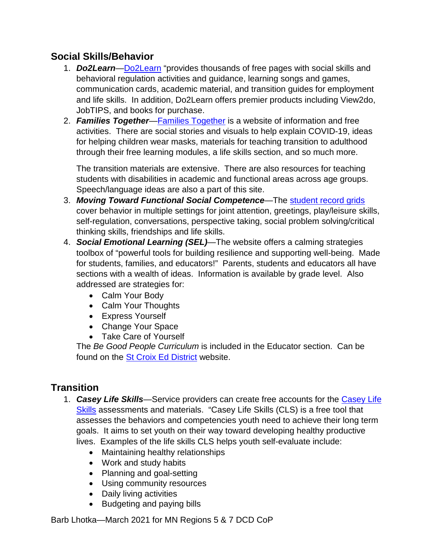#### <span id="page-22-1"></span><span id="page-22-0"></span>**Social Skills/Behavior**

- 1. *Do2Learn*[—Do2Learn](https://do2learn.com/) "provides thousands of free pages with social skills and behavioral regulation activities and guidance, learning songs and games, communication cards, academic material, and transition guides for employment and life skills. In addition, Do2Learn offers premier products including View2do, JobTIPS, and books for purchase.
- <span id="page-22-2"></span>2. *Families Together*[—Families Together](https://familiestogetherinc.org/fun-free-resources-activities/) is a website of information and free activities. There are social stories and visuals to help explain COVID-19, ideas for helping children wear masks, materials for teaching transition to adulthood through their free learning modules, a life skills section, and so much more.

The transition materials are extensive. There are also resources for teaching students with disabilities in academic and functional areas across age groups. Speech/language ideas are also a part of this site.

- <span id="page-22-3"></span>3. *Moving Toward Functional Social Competence*—The [student record grids](https://nesc.k12.sd.us/resources/Moving%20Towards%20Functional%20Social%20Competence.pdf) cover behavior in multiple settings for joint attention, greetings, play/leisure skills, self-regulation, conversations, perspective taking, social problem solving/critical thinking skills, friendships and life skills.
- <span id="page-22-4"></span>4. *Social Emotional Learning (SEL)*—The website offers a calming strategies toolbox of "powerful tools for building resilience and supporting well-being. Made for students, families, and educators!" Parents, students and educators all have sections with a wealth of ideas. Information is available by grade level. Also addressed are strategies for:
	- Calm Your Body
	- Calm Your Thoughts
	- Express Yourself
	- Change Your Space
	- Take Care of Yourself

The *Be Good People Curriculum* is included in the Educator section. Can be found on the **St Croix Ed District** website.

## <span id="page-22-6"></span><span id="page-22-5"></span>**Transition**

- 1. *Casey Life Skills*—Service providers can create free accounts for the [Casey Life](https://caseylifeskills.secure.force.com/)  [Skills](https://caseylifeskills.secure.force.com/) assessments and materials. "Casey Life Skills (CLS) is a free tool that assesses the behaviors and competencies youth need to achieve their long term goals. It aims to set youth on their way toward developing healthy productive lives. Examples of the life skills CLS helps youth self-evaluate include:
	- Maintaining healthy relationships
	- Work and study habits
	- Planning and goal-setting
	- Using community resources
	- Daily living activities
	- Budgeting and paying bills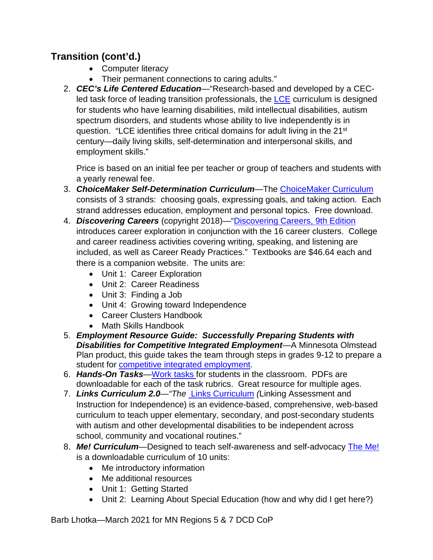# **Transition (cont'd.)**

- Computer literacy
- Their permanent connections to caring adults."
- <span id="page-23-0"></span>2. *CEC's Life Centered Education*—"Research-based and developed by a CEC-led task force of leading transition professionals, the [LCE](https://www.cec.sped.org/Publications/LCE-Transition-Curriculum/Curriculum) curriculum is designed for students who have learning disabilities, mild intellectual disabilities, autism spectrum disorders, and students whose ability to live independently is in question. "LCE identifies three critical domains for adult living in the 21<sup>st</sup> century—daily living skills, self-determination and interpersonal skills, and employment skills."

Price is based on an initial fee per teacher or group of teachers and students with a yearly renewal fee.

- <span id="page-23-1"></span>3. *ChoiceMaker Self-Determination Curriculum*—The [ChoiceMaker Curriculum](https://www.ou.edu/education/centers-and-partnerships/zarrow/transition-education-materials) consists of 3 strands: choosing goals, expressing goals, and taking action. Each strand addresses education, employment and personal topics. Free download.
- <span id="page-23-2"></span>4. *Discovering Careers* (copyright 2018)—["Discovering Careers, 9th Edition](https://www.g-wonlinetextbooks.com/discovering-careers-2018/) introduces career exploration in conjunction with the 16 career clusters. College and career readiness activities covering writing, speaking, and listening are included, as well as Career Ready Practices." Textbooks are \$46.64 each and there is a companion website. The units are:
	- Unit 1: Career Exploration
	- Unit 2: Career Readiness
	- Unit 3: Finding a Job
	- Unit 4: Growing toward Independence
	- Career Clusters Handbook
	- Math Skills Handbook
- <span id="page-23-3"></span>5. *Employment Resource Guide: Successfully Preparing Students with Disabilities for Competitive Integrated Employment*—A Minnesota Olmstead Plan product, this guide takes the team through steps in grades 9-12 to prepare a student for **competitive integrated employment**.
- <span id="page-23-4"></span>6. *Hands-On Tasks*[—Work tasks f](https://www.hot-ideas.org/about.html)or students in the classroom. PDFs are downloadable for each of the task rubrics. Great resource for multiple ages.
- <span id="page-23-5"></span>7. *Links Curriculum 2.0—"The* [Links Curriculum](file:///C:%5CUsers%5CBarb%5CDocuments%5CRegions%205&7%5CRegion%20DCD%5C2020-2021%5CThe%20Links%20Curriculum%20(Linking%20Assessment%20and%20Instruction%20for%20Independence)%20is%20an%20evidence-based,%20comprehensive,%20web-based%20curriculum%20to%20teach%20upper%20elementary,%20secondary,%20and%20post-secondary%20students%20with%20autism%20and%20other%20developmental%20disabilities%20to%20be%20independent%20across%20school,%20community%20and%20vocational%20routines.) *(*Linking Assessment and Instruction for Independence) is an evidence-based, comprehensive, web-based curriculum to teach upper elementary, secondary, and post-secondary students with autism and other developmental disabilities to be independent across school, community and vocational routines."
- <span id="page-23-6"></span>8. *Me! Curriculum*—Designed to teach self-awareness and self-advocacy [The Me!](https://transitionalliancesc.org/lessons-1-10/) is a downloadable curriculum of 10 units:
	- Me introductory information
	- Me additional resources
	- Unit 1: Getting Started
	- Unit 2: Learning About Special Education (how and why did I get here?)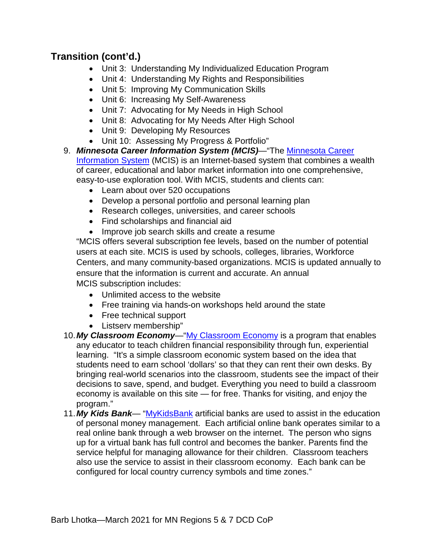## **Transition (cont'd.)**

- Unit 3: Understanding My Individualized Education Program
- Unit 4: Understanding My Rights and Responsibilities
- Unit 5: Improving My Communication Skills
- Unit 6: Increasing My Self-Awareness
- Unit 7: Advocating for My Needs in High School
- Unit 8: Advocating for My Needs After High School
- Unit 9: Developing My Resources
- Unit 10: Assessing My Progress & Portfolio"
- <span id="page-24-0"></span>9. *Minnesota Career Information System (MCIS)*—"The [Minnesota Career](https://portal.mncis.intocareers.org/about-us/)  [Information System](https://portal.mncis.intocareers.org/about-us/) (MCIS) is an Internet-based system that combines a wealth of career, educational and labor market information into one comprehensive, easy-to-use exploration tool. With MCIS, students and clients can:
	- Learn about over 520 occupations
	- Develop a personal portfolio and personal learning plan
	- Research colleges, universities, and career schools
	- Find scholarships and financial aid
	- Improve job search skills and create a resume

"MCIS offers several subscription fee levels, based on the number of potential users at each site. MCIS is used by schools, colleges, libraries, Workforce Centers, and many community-based organizations. MCIS is updated annually to ensure that the information is current and accurate. An annual MCIS subscription includes:

- Unlimited access to the website
- Free training via hands-on workshops held around the state
- Free technical support
- Listserv membership"
- <span id="page-24-1"></span>10. My Classroom Economy—["My Classroom Economy](https://www.myclassroomeconomy.org/) is a program that enables any educator to teach children financial responsibility through fun, experiential learning. "It's a simple classroom economic system based on the idea that students need to earn school 'dollars' so that they can rent their own desks. By bringing real-world scenarios into the classroom, students see the impact of their decisions to save, spend, and budget. Everything you need to build a classroom economy is available on this site — for free. Thanks for visiting, and enjoy the program."
- <span id="page-24-2"></span>11.*My Kids Bank*— ["MyKidsBank](http://mykidsbank.org/) artificial banks are used to assist in the education of personal money management. Each artificial online bank operates similar to a real online bank through a web browser on the internet. The person who signs up for a virtual bank has full control and becomes the banker. Parents find the service helpful for managing allowance for their children. Classroom teachers also use the service to assist in their classroom economy. Each bank can be configured for local country currency symbols and time zones."